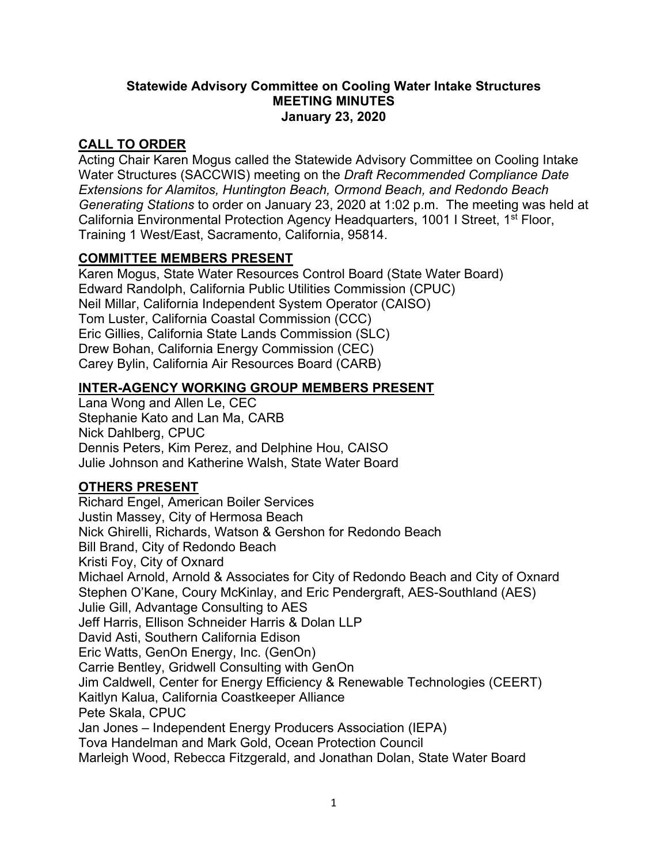#### **Statewide Advisory Committee on Cooling Water Intake Structures MEETING MINUTES January 23, 2020**

## **CALL TO ORDER**

Acting Chair Karen Mogus called the Statewide Advisory Committee on Cooling Intake Water Structures (SACCWIS) meeting on the *Draft Recommended Compliance Date Extensions for Alamitos, Huntington Beach, Ormond Beach, and Redondo Beach Generating Stations* to order on January 23, 2020 at 1:02 p.m. The meeting was held at California Environmental Protection Agency Headquarters, 1001 I Street, 1<sup>st</sup> Floor, Training 1 West/East, Sacramento, California, 95814.

## **COMMITTEE MEMBERS PRESENT**

Karen Mogus, State Water Resources Control Board (State Water Board) Edward Randolph, California Public Utilities Commission (CPUC) Neil Millar, California Independent System Operator (CAISO) Tom Luster, California Coastal Commission (CCC) Eric Gillies, California State Lands Commission (SLC) Drew Bohan, California Energy Commission (CEC) Carey Bylin, California Air Resources Board (CARB)

### **INTER-AGENCY WORKING GROUP MEMBERS PRESENT**

Lana Wong and Allen Le, CEC Stephanie Kato and Lan Ma, CARB Nick Dahlberg, CPUC Dennis Peters, Kim Perez, and Delphine Hou, CAISO Julie Johnson and Katherine Walsh, State Water Board

## **OTHERS PRESENT**

Richard Engel, American Boiler Services Justin Massey, City of Hermosa Beach Nick Ghirelli, Richards, Watson & Gershon for Redondo Beach Bill Brand, City of Redondo Beach Kristi Foy, City of Oxnard Michael Arnold, Arnold & Associates for City of Redondo Beach and City of Oxnard Stephen O'Kane, Coury McKinlay, and Eric Pendergraft, AES-Southland (AES) Julie Gill, Advantage Consulting to AES Jeff Harris, Ellison Schneider Harris & Dolan LLP David Asti, Southern California Edison Eric Watts, GenOn Energy, Inc. (GenOn) Carrie Bentley, Gridwell Consulting with GenOn Jim Caldwell, Center for Energy Efficiency & Renewable Technologies (CEERT) Kaitlyn Kalua, California Coastkeeper Alliance Pete Skala, CPUC Jan Jones – Independent Energy Producers Association (IEPA) Tova Handelman and Mark Gold, Ocean Protection Council Marleigh Wood, Rebecca Fitzgerald, and Jonathan Dolan, State Water Board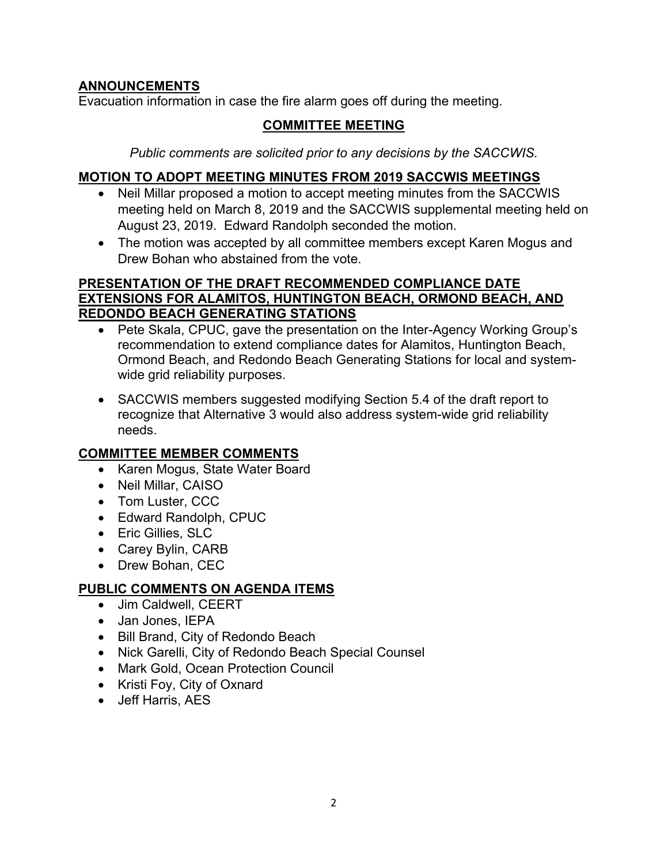## **ANNOUNCEMENTS**

Evacuation information in case the fire alarm goes off during the meeting.

# **COMMITTEE MEETING**

*Public comments are solicited prior to any decisions by the SACCWIS.*

## **MOTION TO ADOPT MEETING MINUTES FROM 2019 SACCWIS MEETINGS**

- Neil Millar proposed a motion to accept meeting minutes from the SACCWIS meeting held on March 8, 2019 and the SACCWIS supplemental meeting held on August 23, 2019. Edward Randolph seconded the motion.
- The motion was accepted by all committee members except Karen Mogus and Drew Bohan who abstained from the vote.

### **PRESENTATION OF THE DRAFT RECOMMENDED COMPLIANCE DATE EXTENSIONS FOR ALAMITOS, HUNTINGTON BEACH, ORMOND BEACH, AND REDONDO BEACH GENERATING STATIONS**

- Pete Skala, CPUC, gave the presentation on the Inter-Agency Working Group's recommendation to extend compliance dates for Alamitos, Huntington Beach, Ormond Beach, and Redondo Beach Generating Stations for local and systemwide grid reliability purposes.
- SACCWIS members suggested modifying Section 5.4 of the draft report to recognize that Alternative 3 would also address system-wide grid reliability needs.

## **COMMITTEE MEMBER COMMENTS**

- Karen Mogus, State Water Board
- Neil Millar, CAISO
- Tom Luster, CCC
- Edward Randolph, CPUC
- Eric Gillies, SLC
- Carey Bylin, CARB
- Drew Bohan, CEC

# **PUBLIC COMMENTS ON AGENDA ITEMS**

- Jim Caldwell, CEERT
- Jan Jones, IEPA
- Bill Brand, City of Redondo Beach
- Nick Garelli, City of Redondo Beach Special Counsel
- Mark Gold, Ocean Protection Council
- Kristi Foy, City of Oxnard
- Jeff Harris, AES